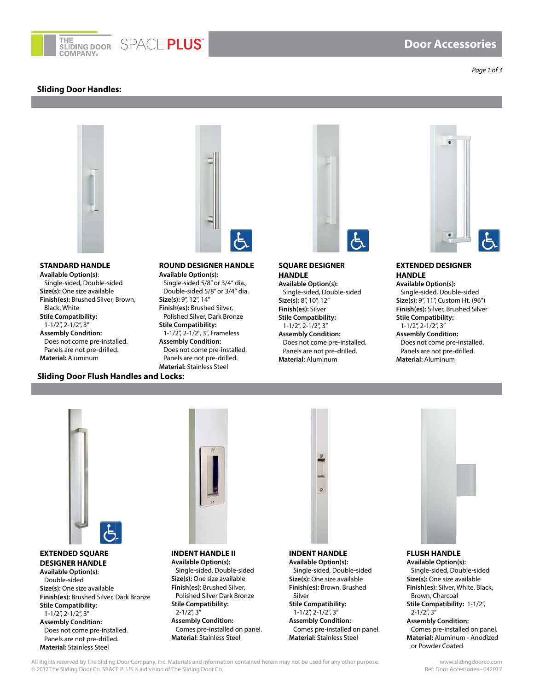

# **Door Accessories**

*Page 1 of 3*

#### **Sliding Door Handles:**



#### **STANDARD HANDLE Available Option(s)**: Single-sided, Double-sided **Size(s):** One size available **Finish(es):** Brushed Silver, Brown, Black, White **Stile Compatibility:**  1-1/2", 2-1/2", 3" **Assembly Condition:**  Does not come pre-installed. Panels are not pre-drilled.



# **Material:** Aluminum

#### **ROUND DESIGNER HANDLE Available Option(s):**  Single-sided 5/8" or 3/4" dia., Double-sided 5/8" or 3/4" dia. **Size(s):** 9", 12", 14" **Finish(es):** Brushed Silver, Polished Silver, Dark Bronze **Stile Compatibility:**  1-1/2", 2-1/2", 3", Frameless **Assembly Condition:**

Does not come pre-installed. Panels are not pre-drilled. **Material:** Stainless Steel **Sliding Door Flush Handles and Locks:**



**SQUARE DESIGNER HANDLE Available Option(s):**

Single-sided, Double-sided **Size(s):** 8", 10", 12" **Finish(es):** Silver **Stile Compatibility:**  1-1/2", 2-1/2", 3" **Assembly Condition:**  Does not come pre-installed. Panels are not pre-drilled. **Material:** Aluminum



# **EXTENDED DESIGNER HANDLE**

**Available Option(s):** Single-sided, Double-sided **Size(s):** 9", 11", Custom Ht. (96") **Finish(es):** Silver, Brushed Silver **Stile Compatibility:**  1-1/2", 2-1/2", 3" **Assembly Condition:** 

Does not come pre-installed. Panels are not pre-drilled. **Material:** Aluminum



#### **EXTENDED SQUARE DESIGNER HANDLE Available Option(s)**:

Double-sided **Size(s):** One size available **Finish(es):** Brushed Silver, Dark Bronze **Stile Compatibility:**  1-1/2", 2-1/2", 3" **Assembly Condition:**  Does not come pre-installed. Panels are not pre-drilled. **Material:** Stainless Steel



**INDENT HANDLE II Available Option(s):**  Single-sided, Double-sided **Size(s):** One size available **Finish(es):** Brushed Silver, Polished Silver Dark Bronze **Stile Compatibility:**  2-1/2", 3" **Assembly Condition:**  Comes pre-installed on panel. **Material:** Stainless Steel



#### **INDENT HANDLE Available Option(s):**  Single-sided, Double-sided **Size(s):** One size available **Finish(es):** Brown, Brushed Silver **Stile Compatibility:**  1-1/2", 2-1/2", 3" **Assembly Condition:**

Comes pre-installed on panel. **Material:** Stainless Steel



#### **FLUSH HANDLE**

**Available Option(s):** Single-sided, Double-sided **Size(s):** One size available **Finish(es):** Silver, White, Black, Brown, Charcoal **Stile Compatibility:** 1-1/2", 2-1/2", 3" **Assembly Condition:**  Comes pre-installed on panel. **Material:** Aluminum - Anodized or Powder Coated

All Rights reserved by The Sliding Door Company, Inc. Materials and information contained herein may not be used for any other purpose.<br>© 2017 The Sliding Door Co. SPACE PLUS is a division of The Sliding Door Co. © 2017 The Sliding Door Co. SPACE PLUS is a division of The Sliding Door Co.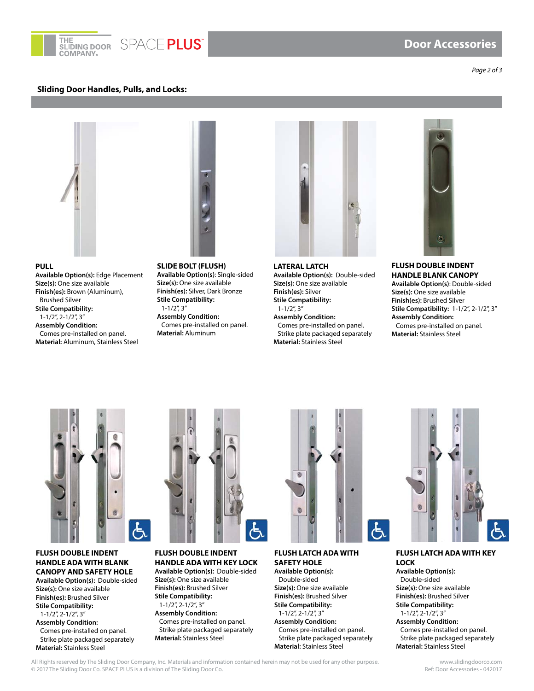

#### **Sliding Door Handles, Pulls, and Locks:**

*Page 2 of 3*



**PULL**

**Size(s):** One size available **Finish(es):** Brown (Aluminum), Brushed Silver **Stile Compatibility:**  1-1/2", 2-1/2", 3" **Assembly Condition:** 

**Available Option(s):** Edge Placement

Comes pre-installed on panel. **Material:** Aluminum, Stainless Steel



**SLIDE BOLT (FLUSH) Available Option(s)**: Single-sided **Size(s):** One size available **Finish(es):** Silver, Dark Bronze **Stile Compatibility:**  1-1/2", 3" **Assembly Condition:**  Comes pre-installed on panel. **Material:** Aluminum



**LATERAL LATCH Available Option(s):** Double-sided **Size(s):** One size available **Finish(es):** Silver **Stile Compatibility:**  1-1/2", 3" **Assembly Condition:**  Comes pre-installed on panel. Strike plate packaged separately **Material:** Stainless Steel



**FLUSH DOUBLE INDENT HANDLE BLANK CANOPY Available Option(s)**: Double-sided **Size(s):** One size available **Finish(es):** Brushed Silver **Stile Compatibility:** 1-1/2", 2-1/2", 3" **Assembly Condition:**  Comes pre-installed on panel. **Material:** Stainless Steel



#### **FLUSH DOUBLE INDENT HANDLE ADA WITH BLANK CANOPY AND SAFETY HOLE**

**Available Option(s):** Double-sided **Size(s):** One size available **Finish(es):** Brushed Silver **Stile Compatibility:**  1-1/2", 2-1/2", 3" **Assembly Condition:** 

Comes pre-installed on panel. Strike plate packaged separately **Material:** Stainless Steel



**FLUSH DOUBLE INDENT HANDLE ADA WITH KEY LOCK Available Option(s):** Double-sided **Size(s):** One size available **Finish(es):** Brushed Silver **Stile Compatibility:**  1-1/2", 2-1/2", 3" **Assembly Condition:** 

Comes pre-installed on panel. Strike plate packaged separately **Material:** Stainless Steel



**FLUSH LATCH ADA WITH SAFETY HOLE Available Option(s):**  Double-sided **Size(s):** One size available

**Finish(es):** Brushed Silver **Stile Compatibility:**  1-1/2", 2-1/2", 3" **Assembly Condition:**  Comes pre-installed on panel. Strike plate packaged separately **Material:** Stainless Steel



**FLUSH LATCH ADA WITH KEY LOCK Available Option(s):** 

Double-sided **Size(s):** One size available **Finish(es):** Brushed Silver **Stile Compatibility:** 

1-1/2", 2-1/2", 3" **Assembly Condition:**  Comes pre-installed on panel. Strike plate packaged separately **Material:** Stainless Steel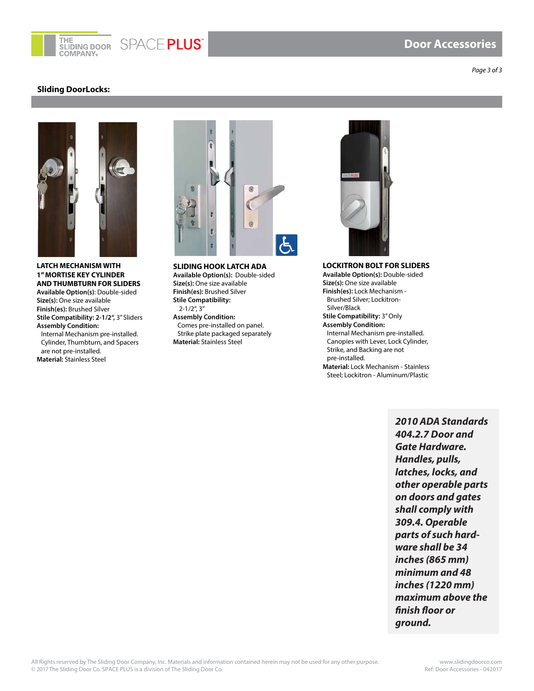

SPACE PLUS

#### **Sliding DoorLocks:**

*Page 3 of 3*



**LATCH MECHANISM WITH 1" MORTISE KEY CYLINDER AND THUMBTURN FOR SLIDERS Available Option(s)**: Double-sided **Size(s):** One size available **Finish(es):** Brushed Silver **Stile Compatibility: 2-1/2",** 3" Sliders **Assembly Condition:**  Internal Mechanism pre-installed. Cylinder, Thumbturn, and Spacers are not pre-installed. **Material:** Stainless Steel



**SLIDING HOOK LATCH ADA Available Option(s):** Double-sided **Size(s):** One size available **Finish(es):** Brushed Silver **Stile Compatibility:**  2-1/2", 3" **Assembly Condition:**  Comes pre-installed on panel. Strike plate packaged separately **Material:** Stainless Steel



**LOCKITRON BOLT FOR SLIDERS**

**Available Option(s):** Double-sided **Size(s):** One size available **Finish(es):** Lock Mechanism - Brushed Silver; Lockitron-Silver/Black

**Stile Compatibility:** 3" Only **Assembly Condition:**  Internal Mechanism pre-installed. Canopies with Lever, Lock Cylinder, Strike, and Backing are not pre-installed.

**Material:** Lock Mechanism - Stainless Steel; Lockitron - Aluminum/Plastic

> **2010 ADA Standards 404.2.7 Door and Gate Hardware. Handles, pulls, latches, locks, and other operable parts on doors and gates shall comply with 309.4. Operable parts of such hardware shall be 34 inches (865 mm) minimum and 48 inches (1220 mm) maximum above the finish floor or ground.**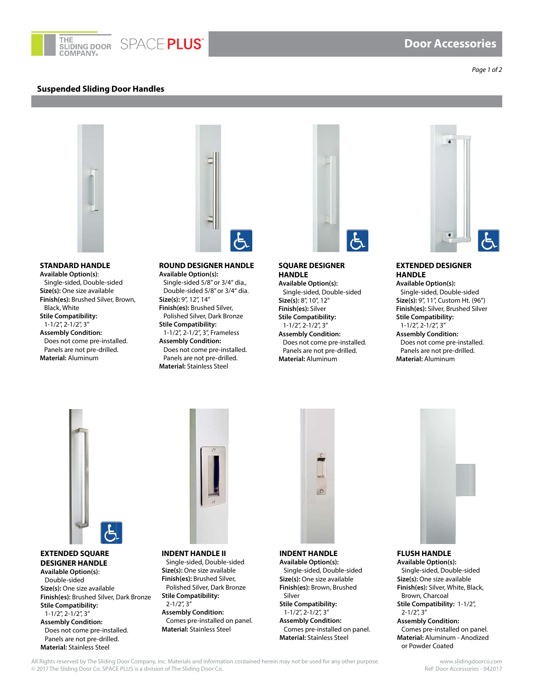

#### **Suspended Sliding Door Handles**

*Page 1 of 2*



#### **STANDARD HANDLE**

**Available Option(s)**: Single-sided, Double-sided **Size(s):** One size available **Finish(es):** Brushed Silver, Brown, Black, White **Stile Compatibility:**  1-1/2", 2-1/2", 3" **Assembly Condition:**  Does not come pre-installed. Panels are not pre-drilled. **Material:** Aluminum



#### **ROUND DESIGNER HANDLE Available Option(s):**  Single-sided 5/8" or 3/4" dia., Double-sided 5/8" or 3/4" dia. **Size(s):** 9", 12", 14" **Finish(es):** Brushed Silver, Polished Silver, Dark Bronze **Stile Compatibility:**  1-1/2", 2-1/2", 3", Frameless **Assembly Condition:**  Does not come pre-installed. Panels are not pre-drilled.

**Material:** Stainless Steel



**SQUARE DESIGNER HANDLE Available Option(s):**

Single-sided, Double-sided **Size(s):** 8", 10", 12" **Finish(es):** Silver **Stile Compatibility:**  1-1/2", 2-1/2", 3" **Assembly Condition:**  Does not come pre-installed. Panels are not pre-drilled. **Material:** Aluminum



#### **EXTENDED DESIGNER HANDLE**

**Available Option(s):** Single-sided, Double-sided **Size(s):** 9", 11", Custom Ht. (96") **Finish(es):** Silver, Brushed Silver **Stile Compatibility:**  1-1/2", 2-1/2", 3"

**Assembly Condition:**  Does not come pre-installed. Panels are not pre-drilled. **Material:** Aluminum



#### **EXTENDED SQUARE DESIGNER HANDLE Available Option(s)**: Double-sided **Size(s):** One size available **Finish(es):** Brushed Silver, Dark Bronze **Stile Compatibility:**  1-1/2", 2-1/2", 3" **Assembly Condition:**  Does not come pre-installed. Panels are not pre-drilled. **Material:** Stainless Steel



**INDENT HANDLE II** Single-sided, Double-sided **Size(s):** One size available **Finish(es):** Brushed Silver, Polished Silver, Dark Bronze **Stile Compatibility:**   $2 - 1/2$ ",  $3$ " **Assembly Condition:**  Comes pre-installed on panel. **Material:** Stainless Steel



**INDENT HANDLE Available Option(s):**  Single-sided, Double-sided **Size(s):** One size available **Finish(es):** Brown, Brushed Silver **Stile Compatibility:**  1-1/2", 2-1/2", 3" **Assembly Condition:**  Comes pre-installed on panel. **Material:** Stainless Steel



**FLUSH HANDLE Available Option(s):** Single-sided, Double-sided **Size(s):** One size available **Finish(es):** Silver, White, Black, Brown, Charcoal **Stile Compatibility:** 1-1/2", 2-1/2", 3" **Assembly Condition:**  Comes pre-installed on panel. **Material:** Aluminum - Anodized or Powder Coated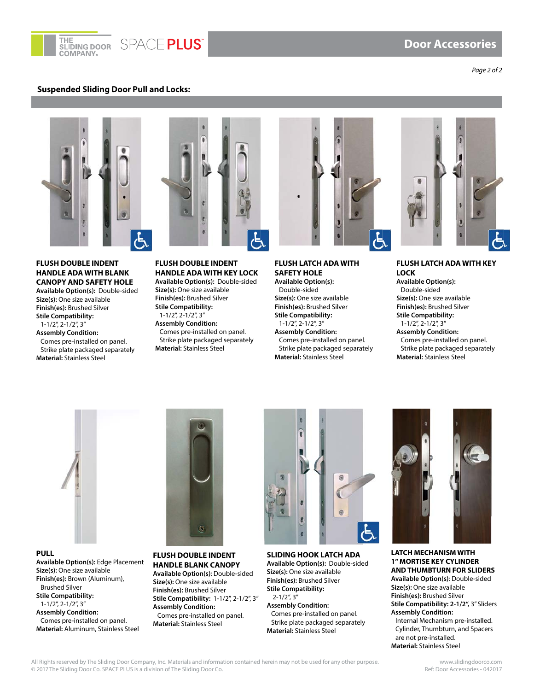

### **Door Accessories**

*Page 2 of 2*

#### **Suspended Sliding Door Pull and Locks:**



#### **FLUSH DOUBLE INDENT HANDLE ADA WITH BLANK CANOPY AND SAFETY HOLE**

**Available Option(s):** Double-sided **Size(s):** One size available **Finish(es):** Brushed Silver **Stile Compatibility:**  1-1/2", 2-1/2", 3" **Assembly Condition:**  Comes pre-installed on panel. Strike plate packaged separately **Material:** Stainless Steel



**Available Option(s):** Double-sided **Size(s):** One size available **Finish(es):** Brushed Silver **Stile Compatibility:**  1-1/2", 2-1/2", 3" **Assembly Condition:**  Comes pre-installed on panel. Strike plate packaged separately **Material:** Stainless Steel



#### **FLUSH LATCH ADA WITH SAFETY HOLE Available Option(s):**  Double-sided

**Size(s):** One size available **Finish(es):** Brushed Silver **Stile Compatibility:**  1-1/2", 2-1/2", 3" **Assembly Condition:** 

Comes pre-installed on panel. Strike plate packaged separately **Material:** Stainless Steel



**FLUSH LATCH ADA WITH KEY LOCK Available Option(s):**  Double-sided **Size(s):** One size available **Finish(es):** Brushed Silver **Stile Compatibility:**  1-1/2", 2-1/2", 3" **Assembly Condition:**  Comes pre-installed on panel.

Strike plate packaged separately **Material:** Stainless Steel



**PULL Available Option(s):** Edge Placement **Size(s):** One size available **Finish(es):** Brown (Aluminum), Brushed Silver **Stile Compatibility:**  1-1/2", 2-1/2", 3" **Assembly Condition:**  Comes pre-installed on panel. **Material:** Aluminum, Stainless Steel



#### **FLUSH DOUBLE INDENT HANDLE BLANK CANOPY Available Option(s)**: Double-sided

**Size(s):** One size available **Finish(es):** Brushed Silver **Stile Compatibility:** 1-1/2", 2-1/2", 3" **Assembly Condition:**  Comes pre-installed on panel. **Material:** Stainless Steel



**SLIDING HOOK LATCH ADA Available Option(s):** Double-sided **Size(s):** One size available **Finish(es):** Brushed Silver **Stile Compatibility:**  2-1/2", 3" **Assembly Condition:**  Comes pre-installed on panel. Strike plate packaged separately **Material:** Stainless Steel



**LATCH MECHANISM WITH 1" MORTISE KEY CYLINDER AND THUMBTURN FOR SLIDERS Available Option(s)**: Double-sided **Size(s):** One size available **Finish(es):** Brushed Silver **Stile Compatibility: 2-1/2",** 3" Sliders **Assembly Condition:**  Internal Mechanism pre-installed. Cylinder, Thumbturn, and Spacers are not pre-installed. **Material:** Stainless Steel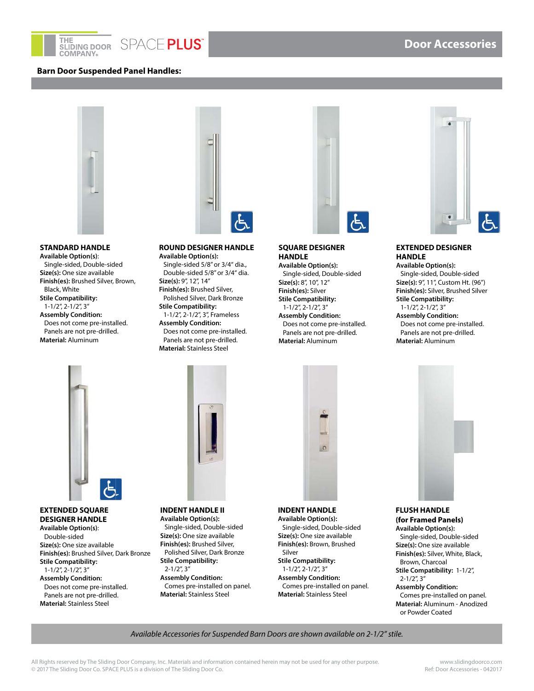



#### **Barn Door Suspended Panel Handles:**



#### **STANDARD HANDLE**

**Available Option(s)**: Single-sided, Double-sided **Size(s):** One size available **Finish(es):** Brushed Silver, Brown, Black, White **Stile Compatibility:**  1-1/2", 2-1/2", 3" **Assembly Condition:**  Does not come pre-installed. Panels are not pre-drilled. **Material:** Aluminum





**Available Option(s):**  Single-sided 5/8" or 3/4" dia., Double-sided 5/8" or 3/4" dia. **Size(s):** 9", 12", 14" **Finish(es):** Brushed Silver, Polished Silver, Dark Bronze **Stile Compatibility:**  1-1/2", 2-1/2", 3", Frameless **Assembly Condition:**  Does not come pre-installed. Panels are not pre-drilled. **Material:** Stainless Steel



# **SQUARE DESIGNER HANDLE**

**Available Option(s):** Single-sided, Double-sided **Size(s):** 8", 10", 12" **Finish(es):** Silver **Stile Compatibility:**  1-1/2", 2-1/2", 3" **Assembly Condition:**  Does not come pre-installed. Panels are not pre-drilled. **Material:** Aluminum



**Door Accessories**

#### **EXTENDED DESIGNER HANDLE**

**Available Option(s):** Single-sided, Double-sided **Size(s):** 9", 11", Custom Ht. (96") **Finish(es):** Silver, Brushed Silver **Stile Compatibility:**  1-1/2", 2-1/2", 3" **Assembly Condition:**  Does not come pre-installed. Panels are not pre-drilled. **Material:** Aluminum



#### **EXTENDED SQUARE DESIGNER HANDLE**

**Available Option(s)**: Double-sided **Size(s):** One size available **Finish(es):** Brushed Silver, Dark Bronze **Stile Compatibility:**  1-1/2", 2-1/2", 3"

**Assembly Condition:**  Does not come pre-installed. Panels are not pre-drilled. **Material:** Stainless Steel



#### **INDENT HANDLE II Available Option(s):**  Single-sided, Double-sided **Size(s):** One size available **Finish(es):** Brushed Silver, Polished Silver, Dark Bronze **Stile Compatibility:**  2-1/2", 3" **Assembly Condition:**  Comes pre-installed on panel. **Material:** Stainless Steel

# $\circ$

**INDENT HANDLE Available Option(s):**  Single-sided, Double-sided **Size(s):** One size available **Finish(es):** Brown, Brushed Silver **Stile Compatibility:**  1-1/2", 2-1/2", 3" **Assembly Condition:**  Comes pre-installed on panel. **Material:** Stainless Steel



#### **FLUSH HANDLE (for Framed Panels)**

**Available Option(s):** Single-sided, Double-sided **Size(s):** One size available **Finish(es):** Silver, White, Black, Brown, Charcoal **Stile Compatibility:** 1-1/2", 2-1/2", 3"

**Assembly Condition:**  Comes pre-installed on panel. **Material:** Aluminum - Anodized or Powder Coated

*Available Accessories for Suspended Barn Doors are shown available on 2-1/2" stile.*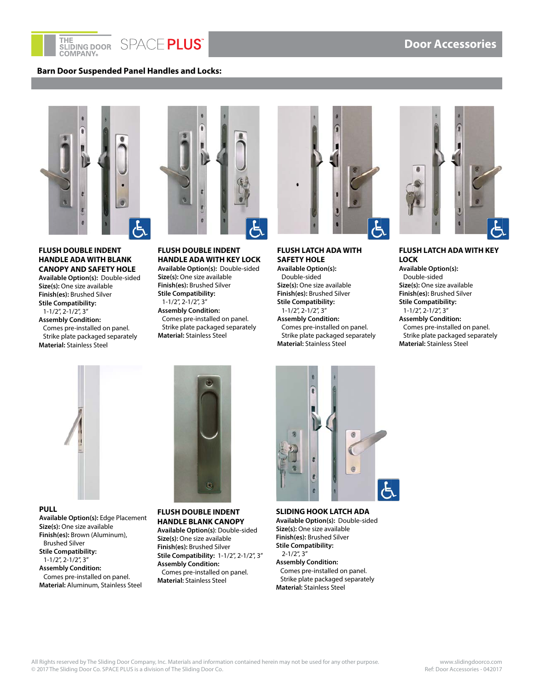

# SPACE PLUS®

#### **Barn Door Suspended Panel Handles and Locks:**



#### **FLUSH DOUBLE INDENT HANDLE ADA WITH BLANK CANOPY AND SAFETY HOLE**

**Available Option(s):** Double-sided **Size(s):** One size available **Finish(es):** Brushed Silver **Stile Compatibility:**  1-1/2", 2-1/2", 3" **Assembly Condition:**  Comes pre-installed on panel. Strike plate packaged separately **Material:** Stainless Steel



## **FLUSH DOUBLE INDENT HANDLE ADA WITH KEY LOCK**

**Available Option(s):** Double-sided **Size(s):** One size available **Finish(es):** Brushed Silver **Stile Compatibility:**  1-1/2", 2-1/2", 3" **Assembly Condition:**  Comes pre-installed on panel. Strike plate packaged separately **Material:** Stainless Steel



#### **FLUSH LATCH ADA WITH SAFETY HOLE**

**Available Option(s):**  Double-sided **Size(s):** One size available **Finish(es):** Brushed Silver **Stile Compatibility:**  1-1/2", 2-1/2", 3" **Assembly Condition:**  Comes pre-installed on panel. Strike plate packaged separately **Material:** Stainless Steel



#### **FLUSH LATCH ADA WITH KEY LOCK**

**Available Option(s):**  Double-sided **Size(s):** One size available **Finish(es):** Brushed Silver **Stile Compatibility:**  1-1/2", 2-1/2", 3"

**Assembly Condition:**  Comes pre-installed on panel. Strike plate packaged separately **Material:** Stainless Steel





**PULL Available Option(s):** Edge Placement **Size(s):** One size available **Finish(es):** Brown (Aluminum), Brushed Silver **Stile Compatibility:**  1-1/2", 2-1/2", 3" **Assembly Condition:**  Comes pre-installed on panel. **Material:** Aluminum, Stainless Steel

#### **FLUSH DOUBLE INDENT HANDLE BLANK CANOPY Available Option(s)**: Double-sided

**Size(s):** One size available **Finish(es):** Brushed Silver **Stile Compatibility:** 1-1/2", 2-1/2", 3" **Assembly Condition:**  Comes pre-installed on panel. **Material:** Stainless Steel



**SLIDING HOOK LATCH ADA Available Option(s):** Double-sided **Size(s):** One size available **Finish(es):** Brushed Silver **Stile Compatibility:**  2-1/2", 3" **Assembly Condition:**  Comes pre-installed on panel. Strike plate packaged separately **Material:** Stainless Steel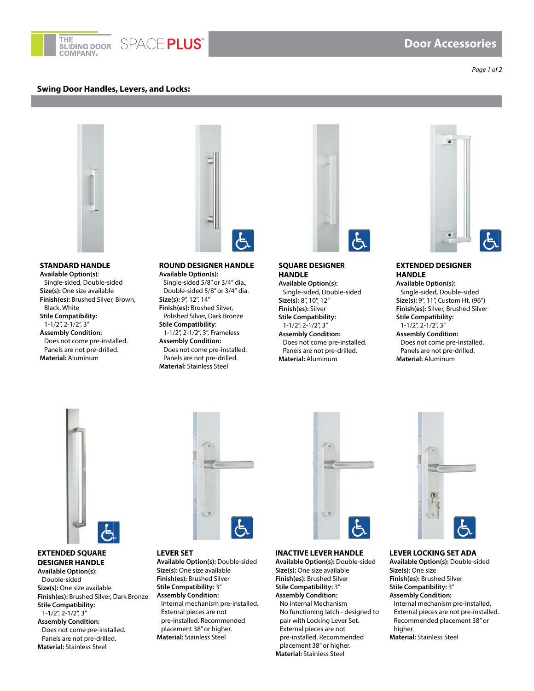

#### **Swing Door Handles, Levers, and Locks:**



#### **STANDARD HANDLE Available Option(s)**: Single-sided, Double-sided **Size(s):** One size available **Finish(es):** Brushed Silver, Brown, Black, White **Stile Compatibility:**  1-1/2", 2-1/2", 3" **Assembly Condition:**  Does not come pre-installed. Panels are not pre-drilled. **Material:** Aluminum



#### **ROUND DESIGNER HANDLE Available Option(s):**  Single-sided 5/8" or 3/4" dia., Double-sided 5/8" or 3/4" dia. **Size(s):** 9", 12", 14" **Finish(es):** Brushed Silver, Polished Silver, Dark Bronze **Stile Compatibility:**  1-1/2", 2-1/2", 3", Frameless **Assembly Condition:**  Does not come pre-installed.

Panels are not pre-drilled. **Material:** Stainless Steel



**SQUARE DESIGNER HANDLE Available Option(s):**

Single-sided, Double-sided **Size(s):** 8", 10", 12" **Finish(es):** Silver **Stile Compatibility:**  1-1/2", 2-1/2", 3" **Assembly Condition:**  Does not come pre-installed. Panels are not pre-drilled. **Material:** Aluminum



 **Door Accessories**

#### **EXTENDED DESIGNER HANDLE**

**Available Option(s):** Single-sided, Double-sided **Size(s):** 9", 11", Custom Ht. (96") **Finish(es):** Silver, Brushed Silver **Stile Compatibility:**  1-1/2", 2-1/2", 3"

**Assembly Condition:**  Does not come pre-installed. Panels are not pre-drilled. **Material:** Aluminum



#### **EXTENDED SQUARE DESIGNER HANDLE Available Option(s)**:

Double-sided **Size(s):** One size available **Finish(es):** Brushed Silver, Dark Bronze **Stile Compatibility:**  1-1/2", 2-1/2", 3" **Assembly Condition:**  Does not come pre-installed. Panels are not pre-drilled. **Material:** Stainless Steel



#### **LEVER SET**

**Available Option(s):** Double-sided **Size(s):** One size available **Finish(es):** Brushed Silver **Stile Compatibility:** 3" **Assembly Condition:**  Internal mechanism pre-installed. External pieces are not pre-installed. Recommended placement 38" or higher. **Material:** Stainless Steel



#### **INACTIVE LEVER HANDLE**

**Available Option(s):** Double-sided **Size(s):** One size available **Finish(es):** Brushed Silver **Stile Compatibility:** 3" **Assembly Condition:**  No internal Mechanism No functioning latch - designed to pair with Locking Lever Set. External pieces are not pre-installed. Recommended placement 38" or higher. **Material:** Stainless Steel



#### **LEVER LOCKING SET ADA**

**Available Option(s):** Double-sided **Size(s):** One size **Finish(es):** Brushed Silver **Stile Compatibility:** 3" **Assembly Condition:** Internal mechanism pre-installed. External pieces are not pre-installed. Recommended placement 38" or higher. **Material:** Stainless Steel

#### *Page 1 of 2*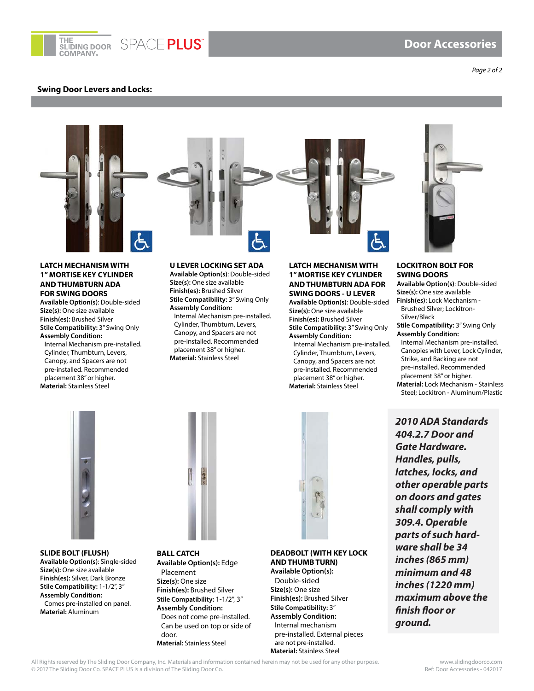

#### **Swing Door Levers and Locks:**

*Page 2 of 2*



#### **LATCH MECHANISM WITH 1" MORTISE KEY CYLINDER AND THUMBTURN ADA FOR SWING DOORS**

**Available Option(s)**: Double-sided **Size(s):** One size available **Finish(es):** Brushed Silver **Stile Compatibility:** 3" Swing Only **Assembly Condition:** 

Internal Mechanism pre-installed. Cylinder, Thumbturn, Levers, Canopy, and Spacers are not pre-installed. Recommended placement 38" or higher. **Material:** Stainless Steel

#### **U LEVER LOCKING SET ADA**

**Available Option(s)**: Double-sided **Size(s):** One size available **Finish(es):** Brushed Silver **Stile Compatibility:** 3" Swing Only

**Assembly Condition:**  Internal Mechanism pre-installed. Cylinder, Thumbturn, Levers, Canopy, and Spacers are not pre-installed. Recommended placement 38" or higher. **Material:** Stainless Steel

#### **LATCH MECHANISM WITH 1" MORTISE KEY CYLINDER AND THUMBTURN ADA FOR SWING DOORS - U LEVER**

**Available Option(s)**: Double-sided **Size(s):** One size available **Finish(es):** Brushed Silver **Stile Compatibility:** 3" Swing Only **Assembly Condition:** 

Internal Mechanism pre-installed. Cylinder, Thumbturn, Levers, Canopy, and Spacers are not pre-installed. Recommended placement 38" or higher. **Material:** Stainless Steel



#### **LOCKITRON BOLT FOR SWING DOORS**

**Available Option(s)**: Double-sided **Size(s):** One size available **Finish(es):** Lock Mechanism -

Brushed Silver; Lockitron-Silver/Black

**Stile Compatibility:** 3" Swing Only **Assembly Condition:** 

Internal Mechanism pre-installed. Canopies with Lever, Lock Cylinder, Strike, and Backing are not pre-installed. Recommended placement 38" or higher.

**Material:** Lock Mechanism - Stainless Steel; Lockitron - Aluminum/Plastic



**SLIDE BOLT (FLUSH) Available Option(s)**: Single-sided **Size(s):** One size available **Finish(es):** Silver, Dark Bronze **Stile Compatibility:** 1-1/2", 3" **Assembly Condition:**  Comes pre-installed on panel. **Material:** Aluminum



**BALL CATCH Available Option(s):** Edge Placement **Size(s):** One size **Finish(es):** Brushed Silver **Stile Compatibility:** 1-1/2", 3" **Assembly Condition:** Does not come pre-installed. Can be used on top or side of door. **Material:** Stainless Steel

# **DEADBOLT (WITH KEY LOCK AND THUMB TURN)**

**Available Option(s):**  Double-sided **Size(s):** One size **Finish(es):** Brushed Silver **Stile Compatibility:** 3" **Assembly Condition:** Internal mechanism pre-installed. External pieces are not pre-installed. **Material:** Stainless Steel

**2010 ADA Standards 404.2.7 Door and Gate Hardware. Handles, pulls, latches, locks, and other operable parts on doors and gates shall comply with 309.4. Operable parts of such hardware shall be 34 inches (865 mm) minimum and 48 inches (1220 mm) maximum above the finish floor or ground.** 

All Rights reserved by The Sliding Door Company, Inc. Materials and information contained herein may not be used for any other purpose.<br>© 2017 The Sliding Door Co. SPACE PLUS is a division of The Sliding Door Co. © 2017 The Sliding Door Co. SPACE PLUS is a division of The Sliding Door Co.